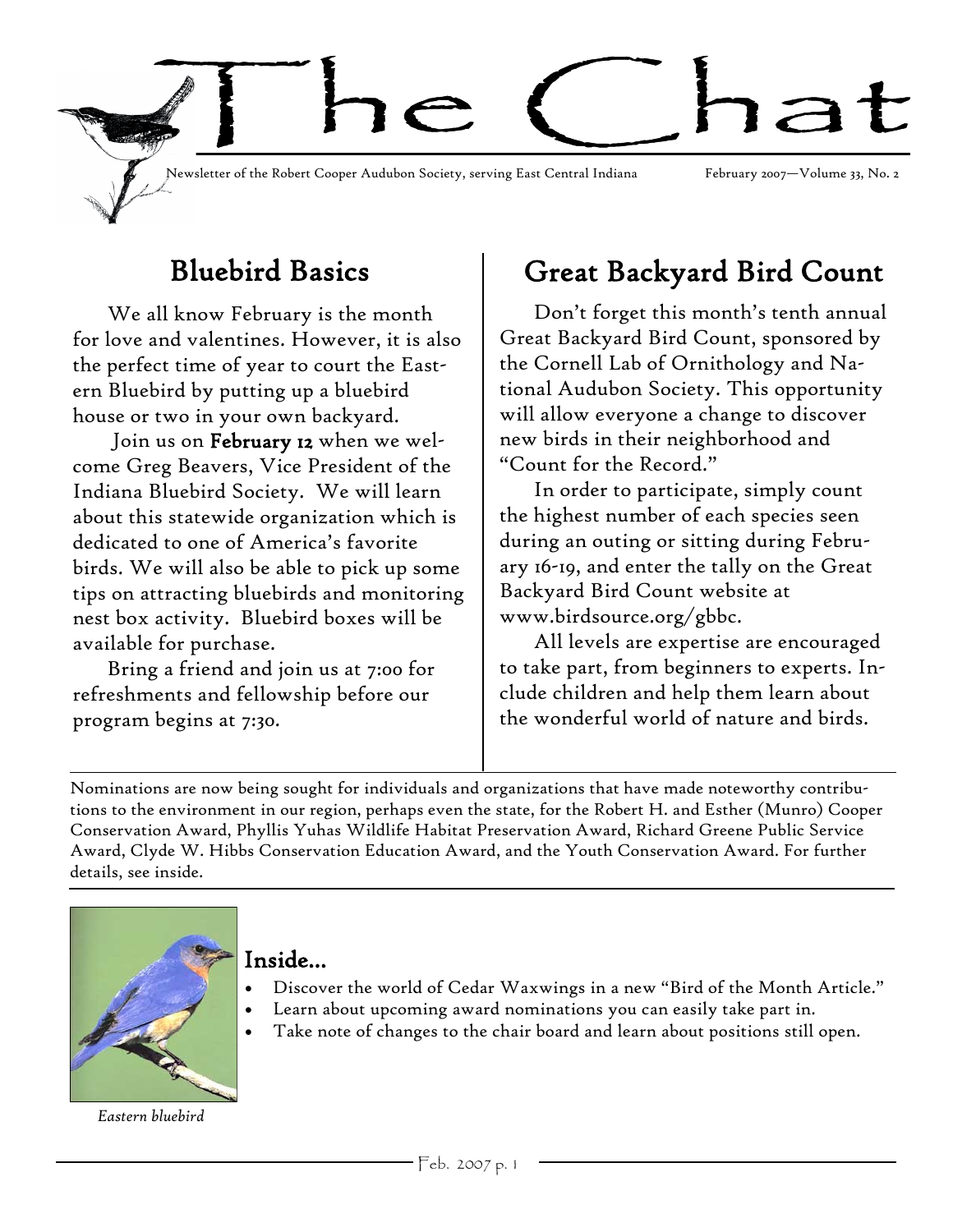

# Bluebird Basics

We all know February is the month for love and valentines. However, it is also the perfect time of year to court the Eastern Bluebird by putting up a bluebird house or two in your own backyard.

Join us on February 12 when we welcome Greg Beavers, Vice President of the Indiana Bluebird Society. We will learn about this statewide organization which is dedicated to one of America's favorite birds. We will also be able to pick up some tips on attracting bluebirds and monitoring nest box activity. Bluebird boxes will be available for purchase.

Bring a friend and join us at 7:00 for refreshments and fellowship before our program begins at 7:30.

# Great Backyard Bird Count

Don't forget this month's tenth annual Great Backyard Bird Count, sponsored by the Cornell Lab of Ornithology and National Audubon Society. This opportunity will allow everyone a change to discover new birds in their neighborhood and "Count for the Record."

In order to participate, simply count the highest number of each species seen during an outing or sitting during February 16-19, and enter the tally on the Great Backyard Bird Count website at www.birdsource.org/gbbc.

All levels are expertise are encouraged to take part, from beginners to experts. Include children and help them learn about the wonderful world of nature and birds.

Nominations are now being sought for individuals and organizations that have made noteworthy contributions to the environment in our region, perhaps even the state, for the Robert H. and Esther (Munro) Cooper Conservation Award, Phyllis Yuhas Wildlife Habitat Preservation Award, Richard Greene Public Service Award, Clyde W. Hibbs Conservation Education Award, and the Youth Conservation Award. For further details, see inside.



## Inside...

- Discover the world of Cedar Waxwings in a new "Bird of the Month Article."
- Learn about upcoming award nominations you can easily take part in.
- Take note of changes to the chair board and learn about positions still open.

*Eastern bluebird*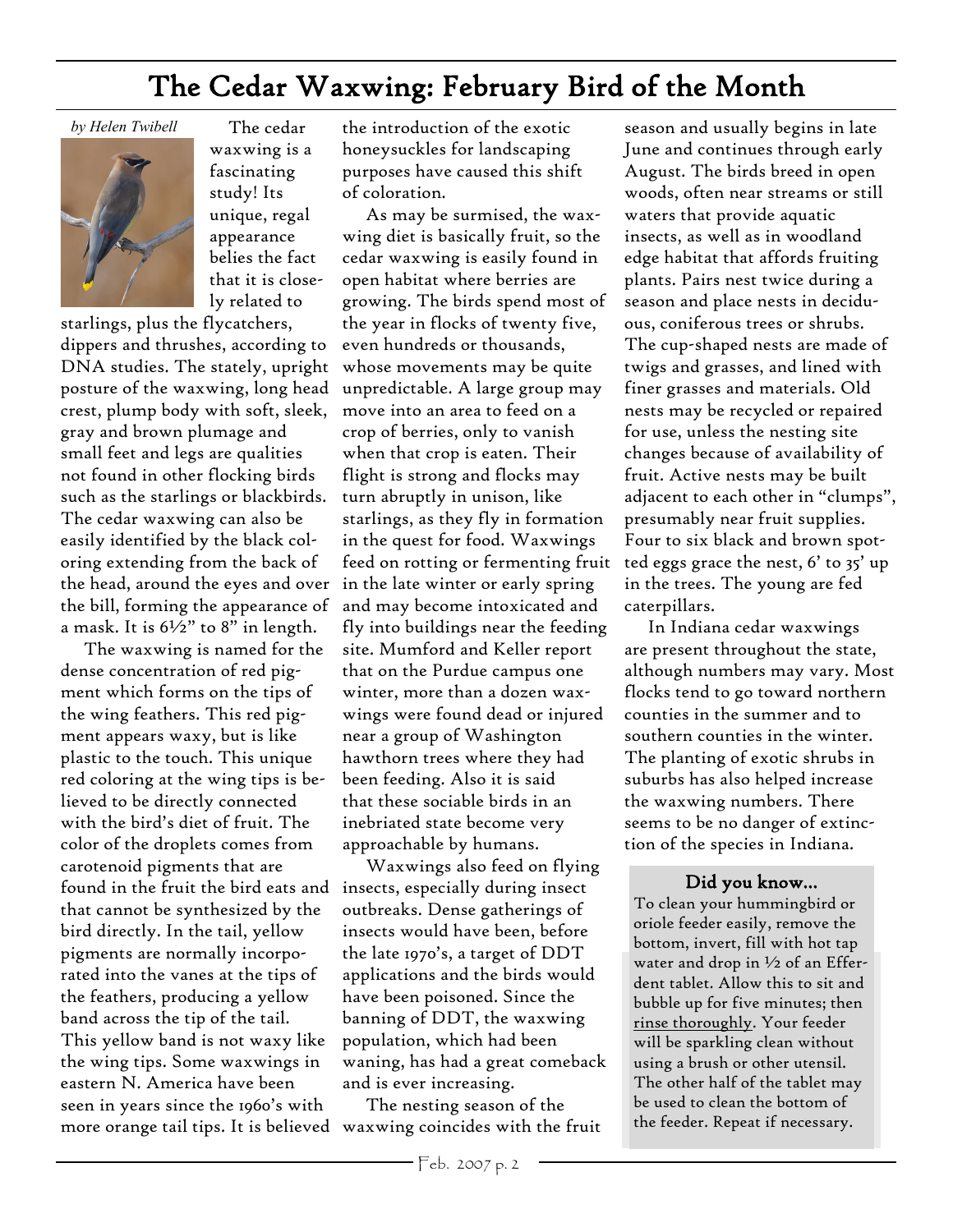# The Cedar Waxwing: February Bird of the Month

*by Helen Twibell*



 The cedar waxwing is a fascinating study! Its unique, regal appearance belies the fact that it is closely related to

starlings, plus the flycatchers, dippers and thrushes, according to DNA studies. The stately, upright posture of the waxwing, long head crest, plump body with soft, sleek, gray and brown plumage and small feet and legs are qualities not found in other flocking birds such as the starlings or blackbirds. The cedar waxwing can also be easily identified by the black coloring extending from the back of the head, around the eyes and over the bill, forming the appearance of a mask. It is  $6\frac{1}{2}$ " to 8" in length.

 The waxwing is named for the dense concentration of red pigment which forms on the tips of the wing feathers. This red pigment appears waxy, but is like plastic to the touch. This unique red coloring at the wing tips is believed to be directly connected with the bird's diet of fruit. The color of the droplets comes from carotenoid pigments that are found in the fruit the bird eats and that cannot be synthesized by the bird directly. In the tail, yellow pigments are normally incorporated into the vanes at the tips of the feathers, producing a yellow band across the tip of the tail. This yellow band is not waxy like the wing tips. Some waxwings in eastern N. America have been seen in years since the 1960's with more orange tail tips. It is believed waxwing coincides with the fruit

the introduction of the exotic honeysuckles for landscaping purposes have caused this shift of coloration.

 As may be surmised, the waxwing diet is basically fruit, so the cedar waxwing is easily found in open habitat where berries are growing. The birds spend most of the year in flocks of twenty five, even hundreds or thousands, whose movements may be quite unpredictable. A large group may move into an area to feed on a crop of berries, only to vanish when that crop is eaten. Their flight is strong and flocks may turn abruptly in unison, like starlings, as they fly in formation in the quest for food. Waxwings feed on rotting or fermenting fruit in the late winter or early spring and may become intoxicated and fly into buildings near the feeding site. Mumford and Keller report that on the Purdue campus one winter, more than a dozen waxwings were found dead or injured near a group of Washington hawthorn trees where they had been feeding. Also it is said that these sociable birds in an inebriated state become very approachable by humans.

 Waxwings also feed on flying insects, especially during insect outbreaks. Dense gatherings of insects would have been, before the late 1970's, a target of DDT applications and the birds would have been poisoned. Since the banning of DDT, the waxwing population, which had been waning, has had a great comeback and is ever increasing.

The nesting season of the

season and usually begins in late June and continues through early August. The birds breed in open woods, often near streams or still waters that provide aquatic insects, as well as in woodland edge habitat that affords fruiting plants. Pairs nest twice during a season and place nests in deciduous, coniferous trees or shrubs. The cup-shaped nests are made of twigs and grasses, and lined with finer grasses and materials. Old nests may be recycled or repaired for use, unless the nesting site changes because of availability of fruit. Active nests may be built adjacent to each other in "clumps", presumably near fruit supplies. Four to six black and brown spotted eggs grace the nest, 6' to 35' up in the trees. The young are fed caterpillars.

 In Indiana cedar waxwings are present throughout the state, although numbers may vary. Most flocks tend to go toward northern counties in the summer and to southern counties in the winter. The planting of exotic shrubs in suburbs has also helped increase the waxwing numbers. There seems to be no danger of extinction of the species in Indiana.

#### Did you know...

To clean your hummingbird or oriole feeder easily, remove the bottom, invert, fill with hot tap water and drop in ½ of an Efferdent tablet. Allow this to sit and bubble up for five minutes; then rinse thoroughly. Your feeder will be sparkling clean without using a brush or other utensil. The other half of the tablet may be used to clean the bottom of the feeder. Repeat if necessary.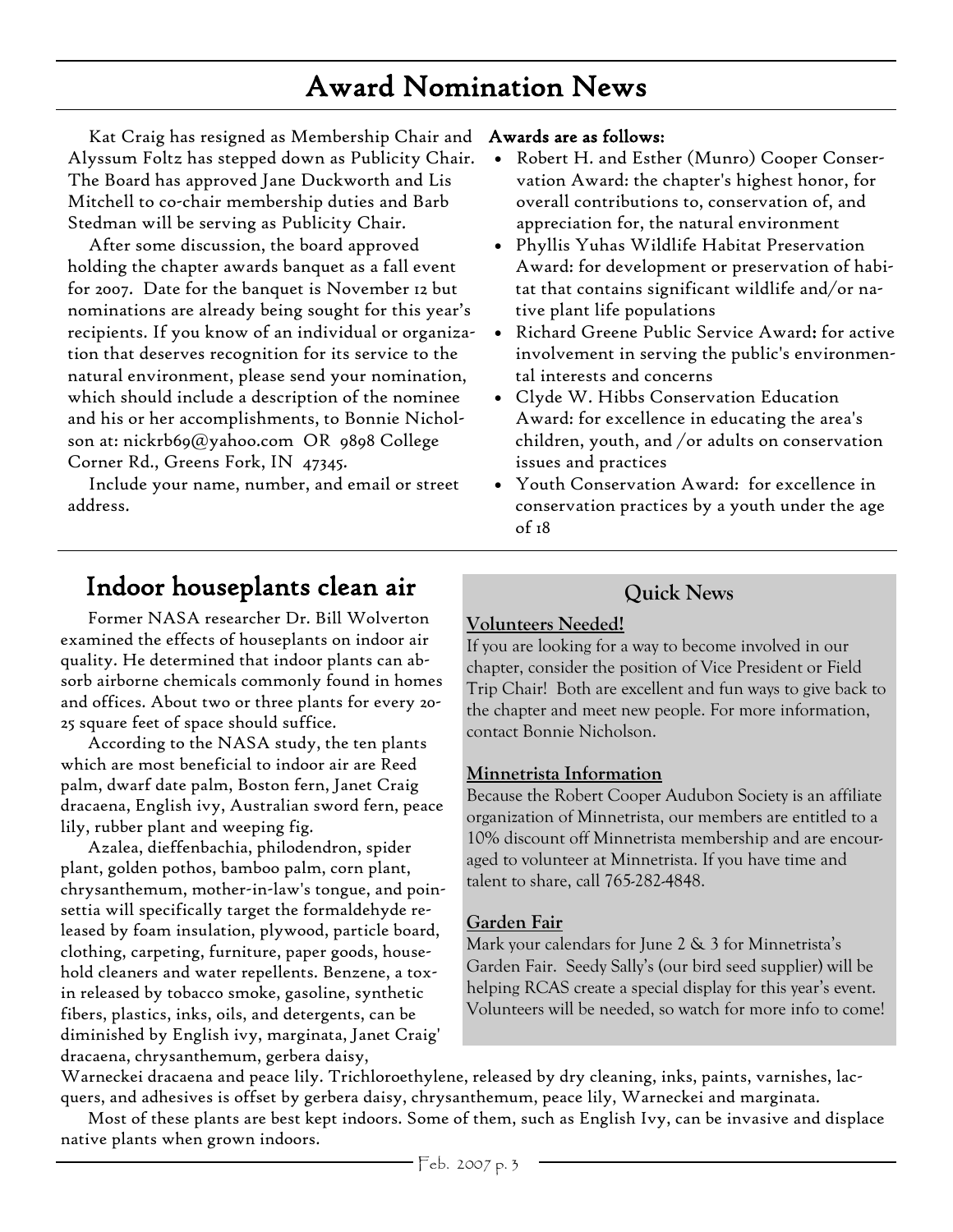# Award Nomination News

Kat Craig has resigned as Membership Chair and Awards are as follows: Alyssum Foltz has stepped down as Publicity Chair. The Board has approved Jane Duckworth and Lis Mitchell to co-chair membership duties and Barb Stedman will be serving as Publicity Chair.

After some discussion, the board approved holding the chapter awards banquet as a fall event for 2007. Date for the banquet is November 12 but nominations are already being sought for this year's recipients. If you know of an individual or organization that deserves recognition for its service to the natural environment, please send your nomination, which should include a description of the nominee and his or her accomplishments, to Bonnie Nicholson at: nickrb69@yahoo.com OR 9898 College Corner Rd., Greens Fork, IN 47345.

Include your name, number, and email or street address.

- Robert H. and Esther (Munro) Cooper Conservation Award: the chapter's highest honor, for overall contributions to, conservation of, and appreciation for, the natural environment
- Phyllis Yuhas Wildlife Habitat Preservation Award: for development or preservation of habitat that contains significant wildlife and/or native plant life populations
- Richard Greene Public Service Award: for active involvement in serving the public's environmental interests and concerns
- Clyde W. Hibbs Conservation Education Award: for excellence in educating the area's children, youth, and /or adults on conservation issues and practices
- Youth Conservation Award: for excellence in conservation practices by a youth under the age of 18

## Indoor houseplants clean air

Former NASA researcher Dr. Bill Wolverton examined the effects of houseplants on indoor air quality. He determined that indoor plants can absorb airborne chemicals commonly found in homes and offices. About two or three plants for every 20- 25 square feet of space should suffice.

According to the NASA study, the ten plants which are most beneficial to indoor air are Reed palm, dwarf date palm, Boston fern, Janet Craig dracaena, English ivy, Australian sword fern, peace lily, rubber plant and weeping fig.

Azalea, dieffenbachia, philodendron, spider plant, golden pothos, bamboo palm, corn plant, chrysanthemum, mother-in-law's tongue, and poinsettia will specifically target the formaldehyde released by foam insulation, plywood, particle board, clothing, carpeting, furniture, paper goods, household cleaners and water repellents. Benzene, a toxin released by tobacco smoke, gasoline, synthetic fibers, plastics, inks, oils, and detergents, can be diminished by English ivy, marginata, Janet Craig' dracaena, chrysanthemum, gerbera daisy,

## **Quick News**

## **Volunteers Needed!**

If you are looking for a way to become involved in our chapter, consider the position of Vice President or Field Trip Chair! Both are excellent and fun ways to give back to the chapter and meet new people. For more information, contact Bonnie Nicholson.

## **Minnetrista Information**

Because the Robert Cooper Audubon Society is an affiliate organization of Minnetrista, our members are entitled to a 10% discount off Minnetrista membership and are encouraged to volunteer at Minnetrista. If you have time and talent to share, call 765-282-4848.

## **Garden Fair**

Mark your calendars for June 2 & 3 for Minnetrista's Garden Fair. Seedy Sally's (our bird seed supplier) will be helping RCAS create a special display for this year's event. Volunteers will be needed, so watch for more info to come!

Warneckei dracaena and peace lily. Trichloroethylene, released by dry cleaning, inks, paints, varnishes, lacquers, and adhesives is offset by gerbera daisy, chrysanthemum, peace lily, Warneckei and marginata.

Most of these plants are best kept indoors. Some of them, such as English Ivy, can be invasive and displace native plants when grown indoors.